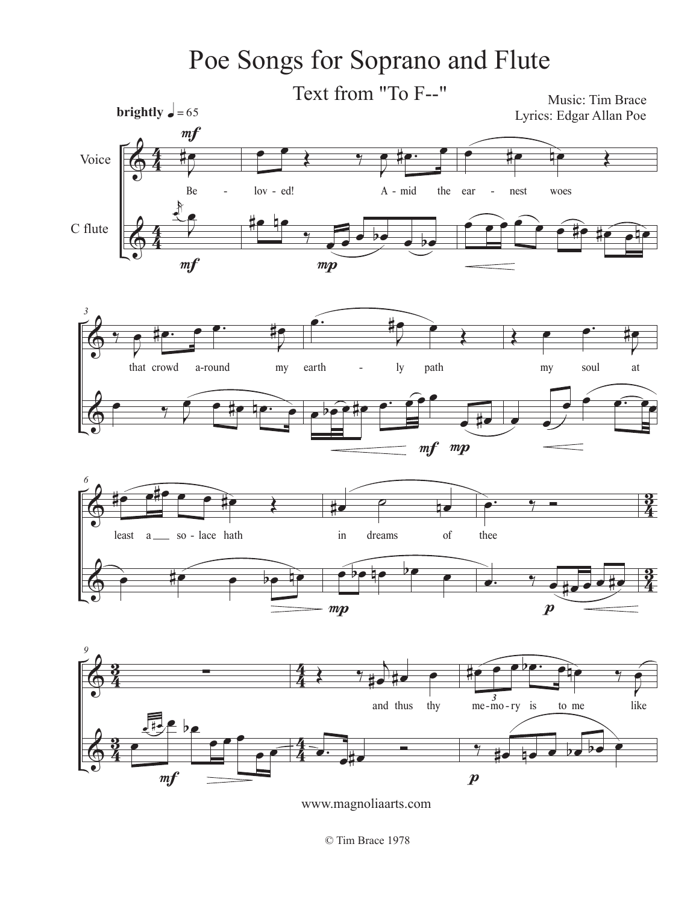

www.magnoliaarts.com

© Tim Brace 1978